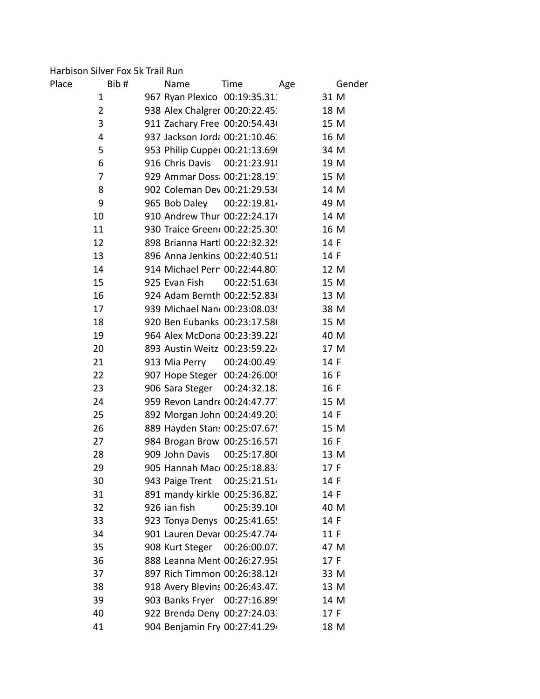### Harbison Silver Fox 5k Trail Run

| Place | Bib#           | Name                           | Time         | Age |      | Gender |
|-------|----------------|--------------------------------|--------------|-----|------|--------|
|       | 1              | 967 Ryan Plexico 00:19:35.31   |              |     | 31 M |        |
|       | $\overline{2}$ | 938 Alex Chalgrer 00:20:22.45  |              |     | 18 M |        |
|       | 3              | 911 Zachary Free 00:20:54.43(  |              |     | 15 M |        |
|       | 4              | 937 Jackson Jord: 00:21:10.46  |              |     | 16 M |        |
|       | 5              | 953 Philip Cupper 00:21:13.696 |              |     | 34 M |        |
|       | 6              | 916 Chris Davis 00:21:23.91    |              |     | 19 M |        |
|       | 7              | 929 Ammar Doss 00:21:28.19     |              |     | 15 M |        |
|       | 8              | 902 Coleman Dev 00:21:29.53(   |              |     | 14 M |        |
|       | 9              | 965 Bob Daley                  | 00:22:19.81  |     | 49 M |        |
|       | 10             | 910 Andrew Thur 00:22:24.176   |              |     | 14 M |        |
|       | 11             | 930 Traice Green( 00:22:25.30! |              |     | 16 M |        |
|       | 12             | 898 Brianna Hart 00:22:32.329  |              |     | 14 F |        |
|       | 13             | 896 Anna Jenkins 00:22:40.518  |              |     | 14 F |        |
|       | 14             | 914 Michael Perr 00:22:44.80.  |              |     | 12 M |        |
|       | 15             | 925 Evan Fish                  | 00:22:51.63( |     | 15 M |        |
|       | 16             | 924 Adam Bernth 00:22:52.83(   |              |     | 13 M |        |
|       | 17             | 939 Michael Nan 00:23:08.03!   |              |     | 38 M |        |
|       | 18             | 920 Ben Eubanks 00:23:17.586   |              |     | 15 M |        |
|       | 19             | 964 Alex McDona 00:23:39.22    |              |     | 40 M |        |
|       | 20             | 893 Austin Weitz 00:23:59.224  |              |     | 17 M |        |
|       | 21             | 913 Mia Perry                  | 00:24:00.491 |     | 14 F |        |
|       | 22             | 907 Hope Steger 00:24:26.00!   |              |     | 16 F |        |
|       | 23             | 906 Sara Steger                | 00:24:32.18. |     | 16 F |        |
|       | 24             | 959 Revon Landr  00:24:47.77   |              |     | 15 M |        |
|       | 25             | 892 Morgan John 00:24:49.20.   |              |     | 14 F |        |
|       | 26             | 889 Hayden Stan: 00:25:07.67!  |              |     | 15 M |        |
|       | 27             | 984 Brogan Brow 00:25:16.57    |              |     | 16 F |        |
|       | 28             | 909 John Davis                 | 00:25:17.800 |     | 13 M |        |
|       | 29             | 905 Hannah Mac 00:25:18.83.    |              |     | 17 F |        |
|       | 30             | 943 Paige Trent                | 00:25:21.51  |     | 14 F |        |
|       | 31             | 891 mandy kirkle 00:25:36.82.  |              |     | 14 F |        |
|       | 32             | 926 ian fish                   | 00:25:39.10  |     | 40 M |        |
|       | 33             | 923 Tonya Denys 00:25:41.65!   |              |     | 14 F |        |
|       | 34             | 901 Lauren Devar 00:25:47.74   |              |     | 11 F |        |
|       | 35             | 908 Kurt Steger                | 00:26:00.07  |     | 47 M |        |
|       | 36             | 888 Leanna Ment 00:26:27.95    |              |     | 17 F |        |
|       | 37             | 897 Rich Timmon 00:26:38.12(   |              |     | 33 M |        |
|       | 38             | 918 Avery Blevins 00:26:43.47. |              |     | 13 M |        |
|       | 39             | 903 Banks Fryer 00:27:16.899   |              |     | 14 M |        |
|       | 40             | 922 Brenda Deny 00:27:24.03.   |              |     | 17 F |        |
|       | 41             | 904 Benjamin Fry 00:27:41.294  |              |     | 18 M |        |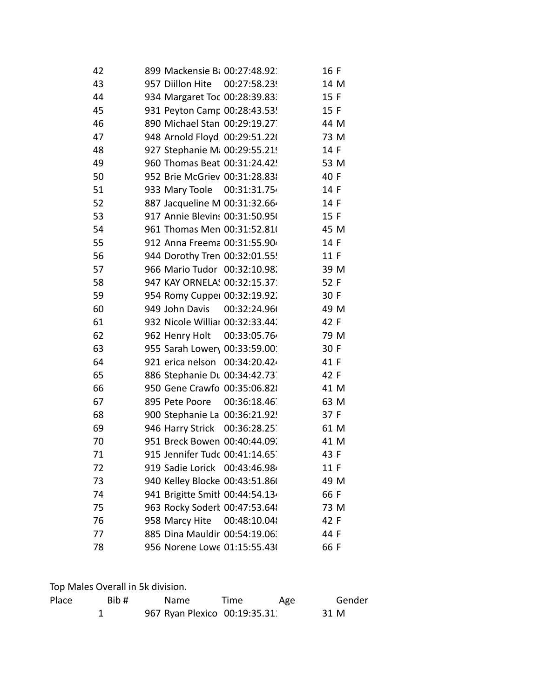| 42 | 899 Mackensie B: 00:27:48.92    |                             | 16 F |  |
|----|---------------------------------|-----------------------------|------|--|
| 43 | 957 Diillon Hite 00:27:58.23!   |                             | 14 M |  |
| 44 | 934 Margaret Toc 00:28:39.83.   |                             | 15 F |  |
| 45 | 931 Peyton Camr 00:28:43.53!    |                             | 15 F |  |
| 46 | 890 Michael Stan 00:29:19.27.   |                             | 44 M |  |
| 47 | 948 Arnold Floyd 00:29:51.22(   |                             | 73 M |  |
| 48 | 927 Stephanie M 00:29:55.219    |                             | 14 F |  |
| 49 | 960 Thomas Beat 00:31:24.42!    |                             | 53 M |  |
| 50 | 952 Brie McGriev 00:31:28.83    |                             | 40 F |  |
| 51 | 933 Mary Toole 00:31:31.754     |                             | 14 F |  |
| 52 | 887 Jacqueline M 00:31:32.664   |                             | 14 F |  |
| 53 | 917 Annie Blevin: 00:31:50.95(  |                             | 15 F |  |
| 54 | 961 Thomas Men 00:31:52.81(     |                             | 45 M |  |
| 55 | 912 Anna Freema 00:31:55.904    |                             | 14 F |  |
| 56 | 944 Dorothy Tren 00:32:01.55!   |                             | 11 F |  |
| 57 | 966 Mario Tudor 00:32:10.98.    |                             | 39 M |  |
| 58 | 947 KAY ORNELA: 00:32:15.37     |                             | 52 F |  |
| 59 | 954 Romy Cuppe: 00:32:19.92.    |                             | 30 F |  |
| 60 | 949 John Davis 00:32:24.96      |                             | 49 M |  |
| 61 | 932 Nicole Williar 00:32:33.44. |                             | 42 F |  |
| 62 |                                 | 962 Henry Holt 00:33:05.764 | 79 M |  |
| 63 | 955 Sarah Lower\ 00:33:59.00.   |                             | 30 F |  |
| 64 | 921 erica nelson                | 00:34:20.424                | 41 F |  |
| 65 | 886 Stephanie Du 00:34:42.73.   |                             | 42 F |  |
| 66 | 950 Gene Crawfo 00:35:06.82     |                             | 41 M |  |
| 67 | 895 Pete Poore 00:36:18.46      |                             | 63 M |  |
| 68 | 900 Stephanie La 00:36:21.92!   |                             | 37 F |  |
| 69 | 946 Harry Strick 00:36:28.25    |                             | 61 M |  |
| 70 | 951 Breck Bowen 00:40:44.09.    |                             | 41 M |  |
| 71 | 915 Jennifer Tudc 00:41:14.65.  |                             | 43 F |  |
| 72 | 919 Sadie Lorick 00:43:46.984   |                             | 11 F |  |
| 73 | 940 Kelley Blocke 00:43:51.86(  |                             | 49 M |  |
| 74 | 941 Brigitte Smitl 00:44:54.134 |                             | 66 F |  |
| 75 | 963 Rocky Sodert 00:47:53.648   |                             | 73 M |  |
| 76 | 958 Marcy Hite                  | 00:48:10.048                | 42 F |  |
| 77 | 885 Dina Mauldir 00:54:19.06.   |                             | 44 F |  |
| 78 | 956 Norene Lowe 01:15:55.43(    |                             | 66 F |  |

Top Males Overall in 5k division.

| Place | Bib# | <b>Name</b>                  | Time | Age | Gender |
|-------|------|------------------------------|------|-----|--------|
|       |      | 967 Ryan Plexico 00:19:35.31 |      |     | 31 M   |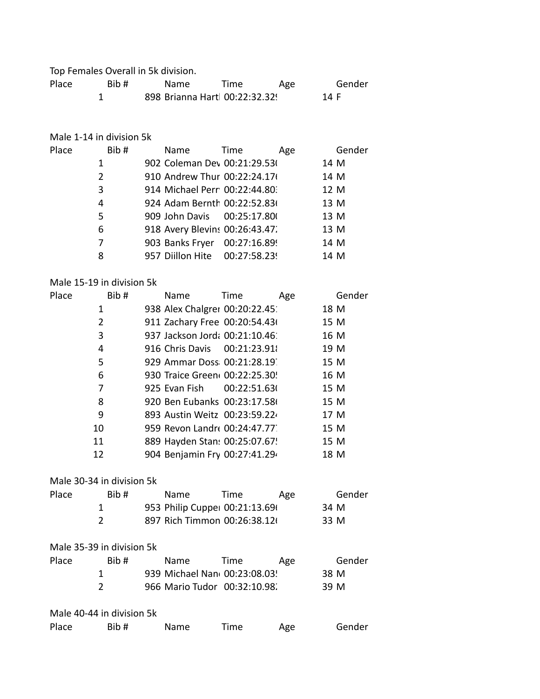Top Females Overall in 5k division.

| Place | Bib# | <b>Name</b>                   | Time | Age |      | Gender |
|-------|------|-------------------------------|------|-----|------|--------|
|       |      | 898 Brianna Hart 00:22:32.329 |      |     | 14 F |        |

#### Male 1-14 in division 5k

| Place | Bib# | Name                           | Time | Age | Gender |
|-------|------|--------------------------------|------|-----|--------|
|       | 1    | 902 Coleman Dev 00:21:29.53(   |      |     | 14 M   |
|       | 2    | 910 Andrew Thur 00:22:24.176   |      |     | 14 M   |
|       | 3    | 914 Michael Perr 00:22:44.80.  |      |     | 12 M   |
|       | 4    | 924 Adam Bernth 00:22:52.836   |      |     | 13 M   |
|       | 5    | 909 John Davis 00:25:17.80     |      |     | 13 M   |
|       | 6    | 918 Avery Blevins 00:26:43.47. |      |     | 13 M   |
|       | 7    | 903 Banks Fryer 00:27:16.899   |      |     | 14 M   |
|       | 8    | 957 Diillon Hite 00:27:58.23   |      |     | 14 M   |

# Male 15-19 in division 5k

| Place | Bib# | Name                          | Time | Age |      | Gender |
|-------|------|-------------------------------|------|-----|------|--------|
|       | 1    | 938 Alex Chalgrer 00:20:22.45 |      |     | 18 M |        |
|       | 2    | 911 Zachary Free 00:20:54.436 |      |     | 15 M |        |
|       | 3    | 937 Jackson Jord: 00:21:10.46 |      |     | 16 M |        |
|       | 4    | 916 Chris Davis 00:21:23.91   |      |     | 19 M |        |
|       | 5    | 929 Ammar Doss 00:21:28.19    |      |     | 15 M |        |
|       | 6    | 930 Traice Green 00:22:25.30! |      |     | 16 M |        |
|       | 7    | 925 Evan Fish 00:22:51.63(    |      |     | 15 M |        |
|       | 8    | 920 Ben Eubanks 00:23:17.58   |      |     | 15 M |        |
|       | 9    | 893 Austin Weitz 00:23:59.22  |      |     | 17 M |        |
|       | 10   | 959 Revon Landre 00:24:47.77. |      |     | 15 M |        |
|       | 11   | 889 Hayden Stan: 00:25:07.67! |      |     | 15 M |        |
|       | 12   | 904 Benjamin Fry 00:27:41.294 |      |     | 18 M |        |

# Male 30-34 in division 5k

| Place | Bib# | Name                           | Time                         | Age | Gender |
|-------|------|--------------------------------|------------------------------|-----|--------|
|       |      | 953 Philip Cupper 00:21:13.696 |                              |     | 34 M   |
|       |      |                                | 897 Rich Timmon 00:26:38.12( |     | 33 M   |

#### Male 35-39 in division 5k

| Place | Bib# | <b>Name</b>                  | Time | Age | Gender |
|-------|------|------------------------------|------|-----|--------|
|       |      | 939 Michael Nan 00:23:08.03! |      |     | 38 M   |
|       |      | 966 Mario Tudor 00:32:10.98. |      |     | 39 M   |

#### Male 40-44 in division 5k

| Place | Bib# | <b>Name</b> | Time | Age | Gender |
|-------|------|-------------|------|-----|--------|
|-------|------|-------------|------|-----|--------|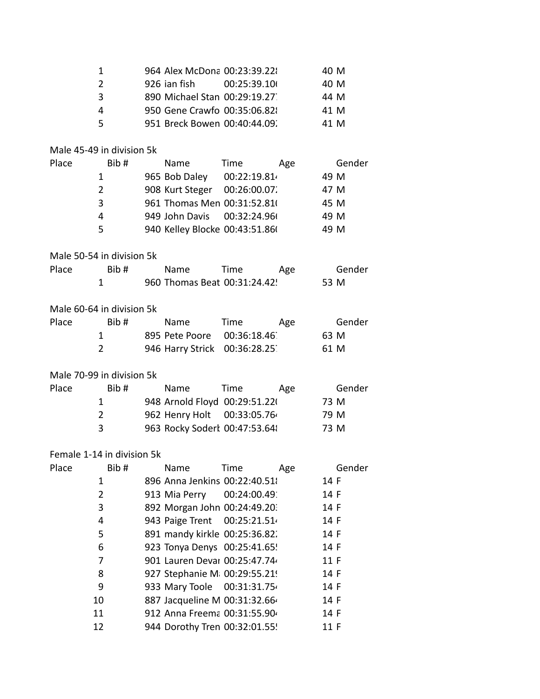|                            | 1              | 964 Alex McDona 00:23:39.22    |              |     | 40 M   |
|----------------------------|----------------|--------------------------------|--------------|-----|--------|
|                            | $\overline{2}$ | 926 ian fish                   | 00:25:39.10  |     | 40 M   |
|                            | 3              | 890 Michael Stan 00:29:19.27   |              |     | 44 M   |
|                            | 4              | 950 Gene Crawfo 00:35:06.82    |              |     | 41 M   |
|                            | 5              | 951 Breck Bowen 00:40:44.09.   |              |     | 41 M   |
|                            |                |                                |              |     |        |
| Male 45-49 in division 5k  |                |                                |              |     |        |
| Place                      | Bib#           | Name                           | Time         | Age | Gender |
|                            | 1              | 965 Bob Daley                  | 00:22:19.814 |     | 49 M   |
|                            | $\overline{2}$ | 908 Kurt Steger 00:26:00.07.   |              |     | 47 M   |
|                            | 3              | 961 Thomas Men 00:31:52.81(    |              |     | 45 M   |
|                            | 4              | 949 John Davis 00:32:24.96     |              |     | 49 M   |
|                            | 5              | 940 Kelley Blocke 00:43:51.86( |              |     | 49 M   |
|                            |                |                                |              |     |        |
| Male 50-54 in division 5k  |                |                                |              |     |        |
| Place                      | Bib#           | Name                           | Time         | Age | Gender |
|                            | 1              | 960 Thomas Beat 00:31:24.42!   |              |     | 53 M   |
| Male 60-64 in division 5k  |                |                                |              |     |        |
| Place                      | Bib#           | Name                           | Time         | Age | Gender |
|                            | 1              | 895 Pete Poore                 | 00:36:18.46  |     | 63 M   |
|                            | $\overline{2}$ | 946 Harry Strick               | 00:36:28.25  |     | 61 M   |
|                            |                |                                |              |     |        |
| Male 70-99 in division 5k  |                |                                |              |     |        |
| Place                      | Bib#           | Name                           | Time         | Age | Gender |
|                            | 1              | 948 Arnold Floyd 00:29:51.22(  |              |     | 73 M   |
|                            | $\overline{2}$ | 962 Henry Holt                 | 00:33:05.764 |     | 79 M   |
|                            | 3              | 963 Rocky Sodert 00:47:53.648  |              |     | 73 M   |
|                            |                |                                |              |     |        |
| Female 1-14 in division 5k |                |                                |              |     |        |
| Place                      | Bib#           | Name                           | Time         | Age | Gender |
|                            | 1              | 896 Anna Jenkins 00:22:40.51   |              |     | 14 F   |
|                            | $\overline{2}$ | 913 Mia Perry                  | 00:24:00.49  |     | 14 F   |
|                            | 3              | 892 Morgan John 00:24:49.20.   |              |     | 14 F   |
|                            | 4              | 943 Paige Trent                | 00:25:21.514 |     | 14 F   |
|                            | 5              | 891 mandy kirkle 00:25:36.82.  |              |     | 14 F   |
|                            | 6              | 923 Tonya Denys 00:25:41.65!   |              |     | 14 F   |
|                            | 7              | 901 Lauren Devar 00:25:47.74   |              |     | 11 F   |
|                            | 8              | 927 Stephanie M 00:29:55.219   |              |     | 14 F   |
|                            | 9              | 933 Mary Toole 00:31:31.754    |              |     | 14 F   |
|                            | 10             | 887 Jacqueline M 00:31:32.664  |              |     | 14 F   |
|                            | 11             | 912 Anna Freema 00:31:55.904   |              |     | 14 F   |
|                            | 12             | 944 Dorothy Tren 00:32:01.55!  |              |     | 11 F   |